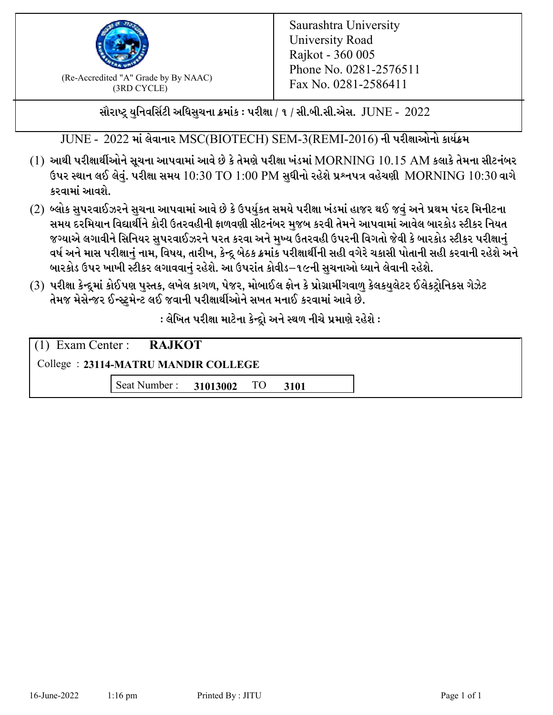

 $F_{\text{R}}$  (Re-Accredited "A" Grade by By NAAC)<br>(3PD CVCLE)<br> $F_{\text{R}}$  No. 0281-2586411 (3RD CYCLE)

સૌરાષ્ટ્ર યુનિવર્સિટી અધિસુચના ક્રમાંક : પરીક્ષા / ૧ / સી.બી.સી.એસ.  $\,$  JUNE -  $\,2022$ 

JUNE - 2022 માં લેવાનાર MSC(BIOTECH) SEM-3(REMI-2016) ની પરીક્ષાઓનો કાર્યક્રમ

- $(1)$  આથી પરીક્ષાર્થીઓને સૂચના આપવામાં આવે છે કે તેમણે પરીક્ષા ખંડમાં  $\operatorname{MORNING}$   $10.15$   $\operatorname{AM}$  કલાકે તેમના સીટનંબર ઉપર સ્થાન લઈ લેવું. પરીક્ષા સમય  $10:30 \text{ TO } 1:00 \text{ PM}$  સુધીનો રહેશે પ્રશ્નપત્ર વહેચણી  $\text{MORNING } 10:30$  વાગે કરવામાં આવશે.
- (2) બ્લોક સુપરવાઈઝરને સુચના આપવામાં આવે છે કે ઉપર્યુકત સમયે પરીક્ષા ખંડમાં હાજર થઈ જવું અને પ્રથમ પંદર મિનીટના સમય દરમિયાન વિદ્યાર્થીને કોરી ઉતરવહીની ફાળવણી સીટનંબર મજબ કરવી તેમને આપવામાં આવેલ બારકોડ સ્ટીકર નિયત જગ્યાએ લગાવીને સિનિયર સુપરવાઈઝરને પરત કરવા અને મુખ્ય ઉતરવહી ઉપરની વિગતો જેવી કે બારકોડ સ્ટીકર પરીક્ષ<u>ાન</u>ં વર્ષ અને માસ પરીક્ષાનું નામ, વિષય, તારીખ, કેન્દ્ર બેઠક ક્રમાંક પરીક્ષાર્થીની સહી વગેરે ચકાસી પોતાની સહી કરવાની રહેશે અને બારકોડ ઉપર ખાખી સ્ટીકર લગાવવાનં રહેશે. આ ઉપરાંત કોવીડ–૧૯ની સચનાઓ ધ્યાને લેવાની રહેશે.
- (3) પરીક્ષા કેન્દ્રમાં કોઈપણ પુસ્તક, લખેલ કાગળ, પેજર, મોબાઈલ ફોન કે પ્રોગ્રામીંગવાળુ કેલકયુલેટર ઈલેકટ્રોનિકસ ગેઝેટ તેમજ મેસેન્જર ઈન્સ્ટમેન્ટ લઈ જવાની પરીક્ષાર્થીઓને સખત મનાઈ કરવામાં આવે છે.

: લેખિત પરીક્ષા માટેના કેન્દ્દો અને સ્થળ નીચે પ્રમાણે રહેશે :

| $(1)$ Exam Center : <b>RAJKOT</b>   |                               |  |  |  |  |  |
|-------------------------------------|-------------------------------|--|--|--|--|--|
| College: 23114-MATRU MANDIR COLLEGE |                               |  |  |  |  |  |
|                                     | Seat Number: 31013002 TO 3101 |  |  |  |  |  |